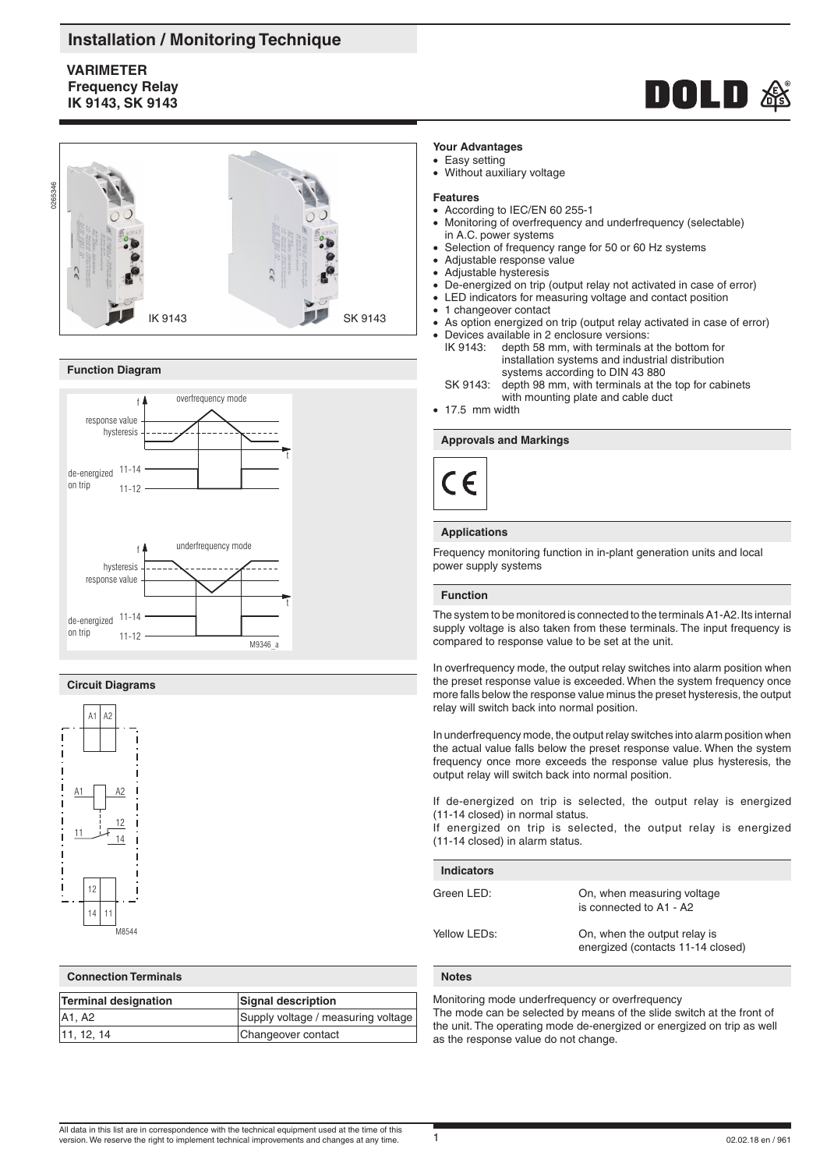# **Installation / Monitoring Technique**

# **VARIMETER Frequency Relay IK 9143, SK 9143**





### **Function Diagram**



# **Circuit Diagrams**



# **Connection Terminals**

| <b>Terminal designation</b> | Signal description                 |  |
|-----------------------------|------------------------------------|--|
| A1, A2                      | Supply voltage / measuring voltage |  |
| 11, 12, 14                  | Changeover contact                 |  |

#### **Your Advantages**

- Easy setting<br>• Without auxi
- Without auxiliary voltage

#### **Features**

- According to IEC/EN 60 255-1
- Monitoring of overfrequency and underfrequency (selectable) in A.C. power systems
- Selection of frequency range for 50 or 60 Hz systems
- Adjustable response value
- Adjustable hysteresis
- De-energized on trip (output relay not activated in case of error)
- LED indicators for measuring voltage and contact position
- 1 changeover contact
- As option energized on trip (output relay activated in case of error)
- Devices available in 2 enclosure versions:<br>IK 9143 depth 58 mm with terminals at depth 58 mm, with terminals at the bottom for installation systems and industrial distribution systems according to DIN 43 880<br>SK 9143: depth 98 mm, with terminals at the
	- depth 98 mm, with terminals at the top for cabinets with mounting plate and cable duct
- 17.5 mm width

# **Approvals and Markings**



### **Applications**

Frequency monitoring function in in-plant generation units and local power supply systems

#### **Function**

The system to be monitored is connected to the terminals A1-A2. Its internal supply voltage is also taken from these terminals. The input frequency is compared to response value to be set at the unit.

In overfrequency mode, the output relay switches into alarm position when the preset response value is exceeded. When the system frequency once more falls below the response value minus the preset hysteresis, the output relay will switch back into normal position.

In underfrequency mode, the output relay switches into alarm position when the actual value falls below the preset response value. When the system frequency once more exceeds the response value plus hysteresis, the output relay will switch back into normal position.

If de-energized on trip is selected, the output relay is energized (11-14 closed) in normal status.

If energized on trip is selected, the output relay is energized (11-14 closed) in alarm status.

| <b>Indicators</b> |                                                                   |
|-------------------|-------------------------------------------------------------------|
| Green LED:        | On, when measuring voltage<br>is connected to A1 - A2             |
| Yellow LEDs:      | On, when the output relay is<br>energized (contacts 11-14 closed) |

# **Notes**

Monitoring mode underfrequency or overfrequency The mode can be selected by means of the slide switch at the front of the unit. The operating mode de-energized or energized on trip as well as the response value do not change.